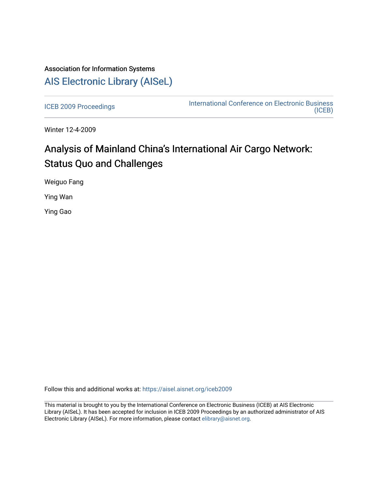## Association for Information Systems [AIS Electronic Library \(AISeL\)](https://aisel.aisnet.org/)

[ICEB 2009 Proceedings](https://aisel.aisnet.org/iceb2009) **International Conference on Electronic Business** [\(ICEB\)](https://aisel.aisnet.org/iceb) 

Winter 12-4-2009

# Analysis of Mainland China's International Air Cargo Network: Status Quo and Challenges

Weiguo Fang

Ying Wan

Ying Gao

Follow this and additional works at: [https://aisel.aisnet.org/iceb2009](https://aisel.aisnet.org/iceb2009?utm_source=aisel.aisnet.org%2Ficeb2009%2F100&utm_medium=PDF&utm_campaign=PDFCoverPages)

This material is brought to you by the International Conference on Electronic Business (ICEB) at AIS Electronic Library (AISeL). It has been accepted for inclusion in ICEB 2009 Proceedings by an authorized administrator of AIS Electronic Library (AISeL). For more information, please contact [elibrary@aisnet.org.](mailto:elibrary@aisnet.org%3E)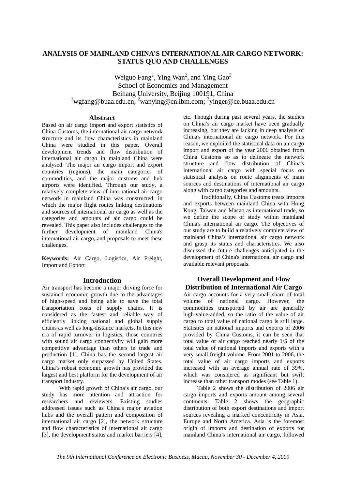### **ANALYSIS OF MAINLAND CHINA'S INTERNATIONAL AIR CARGO NETWORK: STATUS QUO AND CHALLENGES**

Weiguo Fang<sup>1</sup>, Ying Wan<sup>2</sup>, and Ying Gao<sup>3</sup> School of Economics and Management Beihang University, Beijing 100191, China  $\frac{1}{2}$ wgfang@buaa.edu.cn;  $\frac{2}{3}$ wanying@cn.ibm.com;  $\frac{3}{3}$ yinger@ce.buaa.edu.cn

#### **Abstract**

Based on air cargo import and export statistics of China Customs, the international air cargo network structure and its flow characteristics in mainland China were studied in this paper. Overall development trends and flow distribution of international air cargo in mainland China were analysed. The major air cargo import and export countries (regions), the main categories of commodities, and the major customs and hub airports were identified. Through our study, a relatively complete view of international air cargo network in mainland China was constructed, in which the major flight routes linking destinations and sources of international air cargo as well as the categories and amounts of air cargo could be revealed. This paper also includes challenges to the further development of mainland China's international air cargo, and proposals to meet these challenges.

**Keywords:** Air Cargo, Logistics, Air Freight, Import and Export

#### **Introduction**

Air transport has become a major driving force for sustained economic growth due to the advantages of high-speed and being able to save the total transportation costs of supply chains. It is considered as the fastest and reliable way of efficiently linking national and global supply chains as well as long-distance markets. In this new era of rapid turnover in logistics, those countries with sound air cargo connectivity will gain more competitive advantage than others in trade and production [1]. China has the second largest air cargo market only surpassed by United States. China's robust economic growth has provided the largest and best platform for the development of air transport industry.

With rapid growth of China's air cargo, our study has more attention and attraction for researchers and reviewers. Existing studies addressed issues such as China's major aviation hubs and the overall pattern and composition of international air cargo [2], the network structure and flow characteristics of international air cargo [3], the development status and market barriers [4],

etc. Though during past several years, the studies on China's air cargo market have been gradually increasing, but they are lacking in deep analysis of China's international air cargo network. For this reason, we exploited the statistical data on air cargo import and export of the year 2006 obtained from China Customs so as to delineate the network structure and flow distribution of China's international air cargo with special focus on statistical analysis on route alignments of main sources and destinations of international air cargo along with cargo categories and amounts.

Traditionally, China Customs treats imports and exports between mainland China with Hong Kong, Taiwan and Macao as international trade, so we define the scope of study within mainland China's international air cargo. The objectives of our study are to build a relatively complete view of mainland China's international air cargo network and grasp its status and characteristics. We also discussed the future challenges anticipated in the development of China's international air cargo and available relevant proposals.

#### **Overall Development and Flow Distribution of International Air Cargo**

Air cargo accounts for a very small share of total volume of national cargo. However, the commodities transported by air are generally high-value-added, so the ratio of the value of air cargo to total value of national cargo is still large. Statistics on national imports and exports of 2006 provided by China Customs, it can be seen that total value of air cargo reached nearly 1/5 of the total value of national imports and exports with a very small freight volume. From 2001 to 2006, the total value of air cargo imports and exports increased with an average annual rate of 39%, which was considered as significant but swift increase than other transport modes (see Table 1).

Table 2 shows the distribution of 2006 air cargo imports and exports amount among several continents. Table 2 shows the geographic distribution of both export destinations and import sources revealing a marked concentricity in Asia, Europe and North America. Asia is the foremost origin of imports and destination of exports for mainland China's international air cargo, followed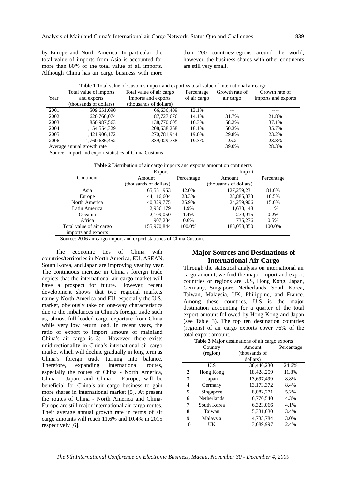by Europe and North America. In particular, the total value of imports from Asia is accounted for more than 80% of the total value of all imports. Although China has air cargo business with more

than 200 countries/regions around the world, however, the business shares with other continents are still very small.

|      |                            | <b>Table 1</b> Total value of Customs import and export vs total value of international air cargo |              |                |                     |
|------|----------------------------|---------------------------------------------------------------------------------------------------|--------------|----------------|---------------------|
|      | Total value of imports     | Total value of air cargo                                                                          | Percentage   | Growth rate of | Growth rate of      |
| Year | and exports                | imports and exports                                                                               | of air cargo | air cargo      | imports and exports |
|      | (thousands of dollars)     | (thousands of dollars)                                                                            |              |                |                     |
| 2001 | 509,651,090                | 66,636,409                                                                                        | 13.1%        |                |                     |
| 2002 | 620,766,074                | 87,727,676                                                                                        | 14.1%        | 31.7%          | 21.8%               |
| 2003 | 850,987,563                | 138,770,605                                                                                       | 16.3%        | 58.2%          | 37.1%               |
| 2004 | 1,154,554,329              | 208, 638, 268                                                                                     | 18.1%        | 50.3%          | 35.7%               |
| 2005 | 1,421,906,172              | 270,781,944                                                                                       | 19.0%        | 29.8%          | 23.2%               |
| 2006 | 1,760,686,452              | 339,029,738                                                                                       | 19.3%        | 25.2           | 23.8%               |
|      | Average annual growth rate |                                                                                                   |              | 39.0%          | 28.3%               |

Source: Import and export statistics of China Customs

| <b>Table 2</b> Distribution of air cargo imports and exports amount on continents |
|-----------------------------------------------------------------------------------|
|-----------------------------------------------------------------------------------|

|                          | Export                 |            | Import                 |            |
|--------------------------|------------------------|------------|------------------------|------------|
| Continent                | Amount                 | Percentage | Amount                 | Percentage |
|                          | (thousands of dollars) |            | (thousands of dollars) |            |
| Asia                     | 65,551,953             | 42.0%      | 127,259,231            | 81.6%      |
| Europe                   | 44,116,604             | 28.3%      | 28,885,873             | 18.5%      |
| North America            | 40.329.775             | 25.9%      | 24,259,906             | 15.6%      |
| Latin America            | 2,956,179              | 1.9%       | 1,638,148              | 1.1%       |
| Oceania                  | 2,109,050              | 1.4%       | 279.915                | 0.2%       |
| Africa                   | 907,284                | $0.6\%$    | 735,276                | $0.5\%$    |
| Total value of air cargo | 155,970,844            | 100.0%     | 183,058,350            | 100.0%     |
| imports and exports      |                        |            |                        |            |

Source: 2006 air cargo import and export statistics of China Customs

The economic ties of China with countries/territories in North America, EU, ASEAN, South Korea, and Japan are improving year by year. The continuous increase in China's foreign trade depicts that the international air cargo market will have a prospect for future. However, recent development shows that two regional markets namely North America and EU, especially the U.S. market, obviously take on one-way characteristics due to the imbalances in China's foreign trade such as, almost full-loaded cargo departure from China while very low return load. In recent years, the ratio of export to import amount of mainland China's air cargo is 3:1. However, there exists unidirectionality in China's international air cargo market which will decline gradually in long term as China's foreign trade turning into balance. Therefore, expanding international routes, especially the routes of China - North America, China - Japan, and China – Europe, will be beneficial for China's air cargo business to gain more shares in international market [5]. At present the routes of China - North America and China-Europe are still major international air cargo routes. Their average annual growth rate in terms of air cargo amounts will reach 11.6% and 10.4% in 2015 respectively [6].

#### **Major Sources and Destinations of International Air Cargo**

Through the statistical analysis on international air cargo amount, we find the major import and export countries or regions are U.S, Hong Kong, Japan, Germany, Singapore, Netherlands, South Korea, Taiwan, Malaysia, UK, Philippine, and France. Among these countries, U.S is the major destination accounting for a quarter of the total export amount followed by Hong Kong and Japan (see Table 3). The top ten destination countries (regions) of air cargo exports cover 76% of the total export amount.

|    |             | <b>Table 3</b> Major destinations of air cargo exports |            |
|----|-------------|--------------------------------------------------------|------------|
|    | Country     | Amount                                                 | Percentage |
|    | (region)    | (thousands of                                          |            |
|    |             | dollars)                                               |            |
| 1  | U.S         | 38,446,230                                             | 24.6%      |
| 2  | Hong Kong   | 18,428,259                                             | 11.8%      |
| 3  | Japan       | 13.697.499                                             | 8.8%       |
| 4  | Germany     | 13, 173, 372                                           | 8.4%       |
| 5  | Singapore   | 8.082.271                                              | 5.2%       |
| 6  | Netherlands | 6,770,540                                              | 4.3%       |
| 7  | South Korea | 6,323,066                                              | 4.1%       |
| 8  | Taiwan      | 5,331,630                                              | 3.4%       |
| 9  | Malaysia    | 4,733,784                                              | 3.0%       |
| 10 | UK          | 3,689,997                                              | 2.4%       |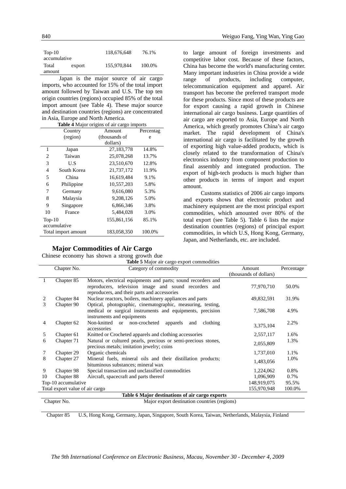| $Top-10$     |        | 118,676,648 | 76.1%  |
|--------------|--------|-------------|--------|
| accumulative |        |             |        |
| Total        | export | 155,970,844 | 100.0% |
| amount       |        |             |        |
|              |        | $\sim$      |        |

Japan is the major source of air cargo imports, who accounted for 15% of the total import amount followed by Taiwan and U.S. The top ten origin countries (regions) occupied 85% of the total import amount (see Table 4). These major source and destination countries (regions) are concentrated in Asia, Europe and North America.

| <b>Table 4</b> Major origins of air cargo imports |  |  |  |
|---------------------------------------------------|--|--|--|

|                | Country             | Amount        | Percentag |
|----------------|---------------------|---------------|-----------|
|                | (region)            | (thousands of | e         |
|                |                     | dollars)      |           |
| 1              | Japan               | 27,183,778    | 14.8%     |
| 2              | Taiwan              | 25,078,268    | 13.7%     |
| 3              | U.S                 | 23,510,670    | 12.8%     |
| $\overline{4}$ | South Korea         | 21,737,172    | 11.9%     |
| 5              | China               | 16,619,484    | 9.1%      |
| 6              | Philippine          | 10,557,203    | 5.8%      |
| 7              | Germany             | 9,616,080     | 5.3%      |
| 8              | Malaysia            | 9,208,126     | 5.0%      |
| 9              | Singapore           | 6,866,346     | 3.8%      |
| 10             | France              | 5,484,028     | 3.0%      |
| $Top-10$       |                     | 155,861,156   | 85.1%     |
|                | accumulative        |               |           |
|                | Total import amount | 183,058,350   | 100.0%    |

#### **Major Commodities of Air Cargo**

Chinese economy has shown a strong growth due

to large amount of foreign investments and competitive labor cost. Because of these factors, China has become the world's manufacturing center. Many important industries in China provide a wide range of products, including computer, telecommunication equipment and apparel. Air transport has become the preferred transport mode for these products. Since most of these products are for export causing a rapid growth in Chinese international air cargo business. Large quantities of air cargo are exported to Asia, Europe and North America, which greatly promotes China's air cargo market. The rapid development of China's international air cargo is facilitated by the growth of exporting high value-added products, which is closely related to the transformation of China's electronics industry from component production to final assembly and integrated production. The export of high-tech products is much higher than other products in terms of import and export amount.

Customs statistics of 2006 air cargo imports and exports shows that electronic product and machinery equipment are the most principal export commodities, which amounted over 80% of the total export (see Table 5). Table 6 lists the major destination countries (regions) of principal export commodities, in which U.S, Hong Kong, Germany, Japan, and Netherlands, etc. are included.

|                | Chapter No.                     | Category of commodity                                                                                                                                                 | Amount                 | Percentage |
|----------------|---------------------------------|-----------------------------------------------------------------------------------------------------------------------------------------------------------------------|------------------------|------------|
|                |                                 |                                                                                                                                                                       | (thousands of dollars) |            |
| 1              | Chapter 85                      | Motors, electrical equipments and parts; sound recorders and<br>reproducers, television image and sound recorders and<br>reproducers, and their parts and accessories | 77,970,710             | 50.0%      |
| 2              | Chapter 84                      | Nuclear reactors, boilers, machinery appliances and parts                                                                                                             | 49,832,591             | 31.9%      |
| 3              | Chapter 90                      | Optical, photographic, cinematographic, measuring, testing,<br>medical or surgical instruments and equipments, precision<br>instruments and equipments                | 7,586,708              | 4.9%       |
| $\overline{4}$ | Chapter 62                      | Non-knitted<br>or non-crocheted<br>clothing<br>apparels<br>and<br>accessories                                                                                         | 3,375,104              | 2.2%       |
| 5              | Chapter 61                      | Knitted or Crocheted apparels and clothing accessories                                                                                                                | 2,557,117              | 1.6%       |
| 6              | Chapter 71                      | Natural or cultured pearls, precious or semi-precious stones,<br>precious metals; imitation jewelry; coins                                                            | 2,055,809              | 1.3%       |
| 7              | Chapter 29                      | Organic chemicals                                                                                                                                                     | 1,737,010              | 1.1%       |
| 8              | Chapter 27                      | Mineral fuels, mineral oils and their distillation products;<br>bituminous substances; mineral wax                                                                    | 1,483,056              | 1.0%       |
| 9              | Chapter 98                      | Special transaction and unclassified commodities                                                                                                                      | 1,224,062              | 0.8%       |
| 10             | Chapter 88                      | Aircraft, spacecraft and parts thereof                                                                                                                                | 1,096,909              | 0.7%       |
|                | Top-10 accumulative             |                                                                                                                                                                       | 148,919,075            | 95.5%      |
|                | Total export value of air cargo |                                                                                                                                                                       | 155,970,948            | 100.0%     |
|                |                                 | Table 6 Major destinations of air cargo exports                                                                                                                       |                        |            |
|                | Chapter No.                     | Major export destination countries (regions)                                                                                                                          |                        |            |

Chapter 85 U.S, Hong Kong, Germany, Japan, Singapore, South Korea, Taiwan, Netherlands, Malaysia, Finland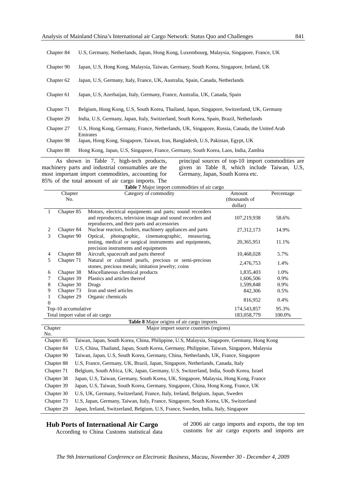| Chapter 84 | U.S. Germany, Netherlands, Japan, Hong Kong, Luxembourg, Malaysia, Singapore, France, UK                 |
|------------|----------------------------------------------------------------------------------------------------------|
| Chapter 90 | Japan, U.S. Hong Kong, Malaysia, Taiwan, Germany, South Korea, Singapore, Ireland, UK                    |
| Chapter 62 | Japan, U.S. Germany, Italy, France, UK, Australia, Spain, Canada, Netherlands                            |
| Chapter 61 | Japan, U.S. Azerbaijan, Italy, Germany, France, Australia, UK, Canada, Spain                             |
| Chapter 71 | Belgium, Hong Kong, U.S, South Korea, Thailand, Japan, Singapore, Switzerland, UK, Germany               |
|            |                                                                                                          |
| Chapter 29 | India, U.S. Germany, Japan, Italy, Switzerland, South Korea, Spain, Brazil, Netherlands                  |
| Chapter 27 | U.S, Hong Kong, Germany, France, Netherlands, UK, Singapore, Russia, Canada, the United Arab<br>Emirates |
| Chapter 98 | Japan, Hong Kong, Singapore, Taiwan, Iran, Bangladesh, U.S., Pakistan, Egypt, UK                         |

As shown in Table 7, high-tech products, machinery parts and industrial consumables are the most important import commodities, accounting for 85% of the total amount of air cargo imports. The

principal sources of top-10 import commodities are given in Table 8, which include Taiwan, U.S, Germany, Japan, South Korea etc.

**Table 7** Major import commodities of air cargo

|          | Chapter                         | Category of commodity                                                                                                                                                                                                              | Amount        | Percentage |
|----------|---------------------------------|------------------------------------------------------------------------------------------------------------------------------------------------------------------------------------------------------------------------------------|---------------|------------|
|          | No.                             |                                                                                                                                                                                                                                    | (thousands of |            |
|          |                                 |                                                                                                                                                                                                                                    | dollar)       |            |
|          | Chapter 85                      | Motors, electrical equipments and parts; sound recorders                                                                                                                                                                           |               |            |
|          |                                 | and reproducers, television image and sound recorders and                                                                                                                                                                          | 107,219,938   | 58.6%      |
|          |                                 | reproducers, and their parts and accessories                                                                                                                                                                                       |               |            |
| 2        | Chapter 84                      | Nuclear reactors, boilers, machinery appliances and parts                                                                                                                                                                          | 27,312,173    | 14.9%      |
| 3        | Chapter 90                      | Optical, photographic, cinematographic,<br>measuring,                                                                                                                                                                              |               |            |
|          |                                 | testing, medical or surgical instruments and equipments,                                                                                                                                                                           | 20,365,951    | 11.1%      |
|          |                                 | precision instruments and equipments                                                                                                                                                                                               |               |            |
| 4        | Chapter 88                      | Aircraft, spacecraft and parts thereof                                                                                                                                                                                             | 10,468,028    | 5.7%       |
| 5        | Chapter 71                      | Natural or cultured pearls, precious or semi-precious                                                                                                                                                                              | 2,476,753     | 1.4%       |
|          |                                 | stones, precious metals; imitation jewelry; coins                                                                                                                                                                                  |               |            |
| 6        | Chapter 38                      | Miscellaneous chemical products                                                                                                                                                                                                    | 1,835,403     | 1.0%       |
| 7        | Chapter 39                      | Plastics and articles thereof                                                                                                                                                                                                      | 1,606,506     | 0.9%       |
| 8        | Chapter 30                      | Drugs                                                                                                                                                                                                                              | 1,599,848     | 0.9%       |
| 9        | Chapter 73                      | Iron and steel articles                                                                                                                                                                                                            | 842,306       | 0.5%       |
| 1        | Chapter 29                      | Organic chemicals                                                                                                                                                                                                                  | 816,952       | 0.4%       |
| $\Omega$ |                                 |                                                                                                                                                                                                                                    |               |            |
|          | Top-10 accumulative             |                                                                                                                                                                                                                                    | 174,543,857   | 95.3%      |
|          | Total import value of air cargo |                                                                                                                                                                                                                                    | 183,058,779   | 100.0%     |
|          |                                 | Table 8 Major origins of air cargo imports                                                                                                                                                                                         |               |            |
| Chapter  |                                 | Major import source countries (regions)                                                                                                                                                                                            |               |            |
| No.      |                                 |                                                                                                                                                                                                                                    |               |            |
|          | Chapter 85                      | Taiwan, Japan, South Korea, China, Philippine, U.S, Malaysia, Singapore, Germany, Hong Kong                                                                                                                                        |               |            |
|          | Chapter 84                      | U.S, China, Thailand, Japan, South Korea, Germany, Philippine, Taiwan, Singapore, Malaysia                                                                                                                                         |               |            |
|          | Chapter 90                      | Taiwan, Japan, U.S, South Korea, Germany, China, Netherlands, UK, France, Singapore                                                                                                                                                |               |            |
|          | $\alpha$ $\alpha$               | $\mathbf{H} \cap \mathbf{F}$ and $\mathbf{H} \cap \mathbf{F}$ and $\mathbf{H} \cap \mathbf{F}$ and $\mathbf{H} \cap \mathbf{F}$ and $\mathbf{H} \cap \mathbf{F}$ and $\mathbf{H} \cap \mathbf{F}$ and $\mathbf{H} \cap \mathbf{F}$ |               |            |

Chapter 88 U.S, France, Germany, UK, Brazil, Japan, Singapore, Netherlands, Canada, Italy

Chapter 71 Belgium, South Africa, UK, Japan, Germany, U.S, Switzerland, India, South Korea, Israel

Chapter 38 Japan, U.S, Taiwan, Germany, South Korea, UK, Singapore, Malaysia, Hong Kong, France

Chapter 39 Japan, U.S, Taiwan, South Korea, Germany, Singapore, China, Hong Kong, France, UK

Chapter 30 U.S, UK, Germany, Switzerland, France, Italy, Ireland, Belgium, Japan, Sweden

Chapter 73 U.S, Japan, Germany, Taiwan, Italy, France, Singapore, South Korea, UK, Switzerland

Chapter 29 Japan, Ireland, Switzerland, Belgium, U.S, France, Sweden, India, Italy, Singapore

#### **Hub Ports of International Air Cargo**

According to China Customs statistical data

of 2006 air cargo imports and exports, the top ten customs for air cargo exports and imports are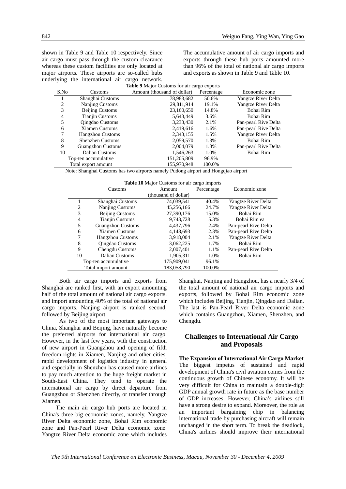shown in Table 9 and Table 10 respectively. Since air cargo must pass through the custom clearance whereas these custom facilities are only located at major airports. These airports are so-called hubs underlying the international air cargo network. **Table 9** Major Customs for air cargo exports

The accumulative amount of air cargo imports and exports through these hub ports amounted more than 96% of the total of national air cargo imports and exports as shown in Table 9 and Table 10.

|      |                          | <b>Lable 7</b> Major Customs for all cargo exports |            |                      |
|------|--------------------------|----------------------------------------------------|------------|----------------------|
| S.No | Customs                  | Amount (thousand of dollar)                        | Percentage | Economic zone        |
|      | Shanghai Customs         | 78,983,682                                         | 50.6%      | Yangtze River Delta  |
| 2    | Nanjing Customs          | 29,811,914                                         | 19.1%      | Yangtze River Delta  |
| 3    | Beijing Customs          | 23,160,650                                         | 14.8%      | Bohai Rim            |
| 4    | <b>Tianjin Customs</b>   | 5,643,449                                          | 3.6%       | Bohai Rim            |
| 5    | Qingdao Customs          | 3,233,430                                          | 2.1%       | Pan-pearl Rive Delta |
| 6    | <b>Xiamen Customs</b>    | 2,419,616                                          | 1.6%       | Pan-pearl Rive Delta |
| 7    | <b>Hangzhou Customs</b>  | 2,343,155                                          | 1.5%       | Yangtze River Delta  |
| 8    | <b>Shenzhen Customs</b>  | 2,059,570                                          | 1.3%       | Bohai Rim            |
| 9    | <b>Guangzhou Customs</b> | 2,004,079                                          | 1.3%       | Pan-pearl Rive Delta |
| 10   | <b>Dalian Customs</b>    | 1,546,263                                          | 1.0%       | Bohai Rim            |
|      | Top-ten accumulative     | 151,205,809                                        | 96.9%      |                      |
|      | Total export amount      | 155,970,948                                        | 100.0%     |                      |

Note: Shanghai Customs has two airports namely Pudong airport and Hongqiao airport

| <b>Table 10</b> Major Customs for air cargo imports |
|-----------------------------------------------------|
|-----------------------------------------------------|

|                      | <b>Customs</b>           | Amount               | Percentage | Economic zone        |
|----------------------|--------------------------|----------------------|------------|----------------------|
|                      |                          | (thousand of dollar) |            |                      |
|                      | Shanghai Customs         | 74,039,541           | 40.4%      | Yangtze River Delta  |
| 2                    | Nanjing Customs          | 45,256,166           | 24.7%      | Yangtze River Delta  |
| 3                    | <b>Beijing Customs</b>   | 27,390,176           | 15.0%      | Bohai Rim            |
| 4                    | <b>Tianjin Customs</b>   | 9,743,728            | 5.3%       | Bohai Rim ea         |
| 5                    | <b>Guangzhou Customs</b> | 4.437.796            | 2.4%       | Pan-pearl Rive Delta |
| 6                    | <b>Xiamen Customs</b>    | 4,148,693            | 2.3%       | Pan-pearl Rive Delta |
| 7                    | <b>Hangzhou Customs</b>  | 3,918,004            | 2.1%       | Yangtze River Delta  |
| 8                    | Qingdao Customs          | 3,062,225            | 1.7%       | Bohai Rim            |
| 9                    | Chengdu Customs          | 2,007,401            | 1.1%       | Pan-pearl Rive Delta |
| 10                   | Dalian Customs           | 1.905.311            | 1.0%       | Bohai Rim            |
| Top-ten accumulative |                          | 175,909,041          | 96.1%      |                      |
| Total import amount  |                          | 183,058,790          | 100.0%     |                      |

Both air cargo imports and exports from Shanghai are ranked first, with an export amounting half of the total amount of national air cargo exports, and import amounting 40% of the total of national air cargo imports. Nanjing airport is ranked second, followed by Beijing airport.

As two of the most important gateways to China, Shanghai and Beijing, have naturally become the preferred airports for international air cargo. However, in the last few years, with the construction of new airport in Guangzhou and opening of fifth freedom rights in Xiamen, Nanjing and other cities, rapid development of logistics industry in general and especially in Shenzhen has caused more airlines to pay much attention to the huge freight market in South-East China. They tend to operate the international air cargo by direct departure from Guangzhou or Shenzhen directly, or transfer through Xiamen.

The main air cargo hub ports are located in China's three big economic zones, namely, Yangtze River Delta economic zone, Bohai Rim economic zone and Pan-Pearl River Delta economic zone. Yangtze River Delta economic zone which includes Shanghai, Nanjing and Hangzhou, has a nearly 3/4 of the total amount of national air cargo imports and exports, followed by Bohai Rim economic zone which includes Beijing, Tianjin, Qingdao and Dalian. The last is Pan-Pearl River Delta economic zone which contains Guangzhou, Xiamen, Shenzhen, and Chengdu.

#### **Challenges to International Air Cargo and Proposals**

**The Expansion of International Air Cargo Market**  The biggest impetus of sustained and rapid development of China's civil aviation comes from the continuous growth of Chinese economy. It will be very difficult for China to maintain a double-digit GDP annual growth rate in future as the base number of GDP increases. However, China's airlines still have a strong desire to expand. Moreover, the role as an important bargaining chip in balancing international trade by purchasing aircraft will remain unchanged in the short term. To break the deadlock, China's airlines should improve their international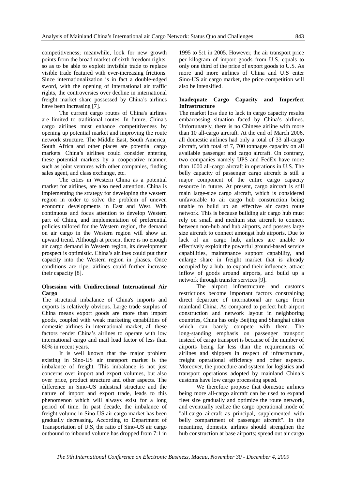competitiveness; meanwhile, look for new growth points from the broad market of sixth freedom rights, so as to be able to exploit invisible trade to replace visible trade featured with ever-increasing frictions. Since internationalization is in fact a double-edged sword, with the opening of international air traffic rights, the controversies over decline in international freight market share possessed by China's airlines have been increasing [7].

The current cargo routes of China's airlines are limited to traditional routes. In future, China's cargo airlines must enhance competitiveness by opening up potential market and improving the route network structure. The Middle East, South America, South Africa and other places are potential cargo markets. China's airlines could consider entering these potential markets by a cooperative manner, such as joint ventures with other companies, finding sales agent, and class exchange, etc.

The cities in Western China as a potential market for airlines, are also need attention. China is implementing the strategy for developing the western region in order to solve the problem of uneven economic developments in East and West. With continuous and focus attention to develop Western part of China, and implementation of preferential policies tailored for the Western region, the demand on air cargo in the Western region will show an upward trend. Although at present there is no enough air cargo demand in Western region, its development prospect is optimistic. China's airlines could put their capacity into the Western region in phases. Once conditions are ripe, airlines could further increase their capacity [8].

#### **Obsession with Unidirectional International Air Cargo**

The structural imbalance of China's imports and exports is relatively obvious. Large trade surplus of China means export goods are more than import goods, coupled with weak marketing capabilities of domestic airlines in international market, all these factors render China's airlines to operate with low international cargo and mail load factor of less than 60% in recent years.

It is well known that the major problem existing in Sino-US air transport market is the imbalance of freight. This imbalance is not just concerns over import and export volumes, but also over price, product structure and other aspects. The difference in Sino-US industrial structure and the nature of import and export trade, leads to this phenomenon which will always exist for a long period of time. In past decade, the imbalance of freight volume in Sino-US air cargo market has been gradually decreasing. According to Department of Transportation of U.S, the ratio of Sino-US air cargo outbound to inbound volume has dropped from 7:1 in

1995 to 5:1 in 2005. However, the air transport price per kilogram of import goods from U.S. equals to only one third of the price of export goods to U.S. As more and more airlines of China and U.S enter Sino-US air cargo market, the price competition will also be intensified.

#### **Inadequate Cargo Capacity and Imperfect Infrastructure**

The market loss due to lack in cargo capacity results embarrassing situation faced by China's airlines. Unfortunately, there is no Chinese airline with more than 10 all-cargo aircraft. At the end of March 2006, all domestic airlines had only a total of 33 all-cargo aircraft, with total of 7, 700 tonnages capacity on all available passenger and cargo aircraft. On contrary, two companies namely UPS and FedEx have more than 1000 all-cargo aircraft in operations in U.S. The belly capacity of passenger cargo aircraft is still a major component of the entire cargo capacity resource in future. At present, cargo aircraft is still main large-size cargo aircraft, which is considered unfavorable to air cargo hub construction being unable to build up an effective air cargo route network. This is because building air cargo hub must rely on small and medium size aircraft to connect between non-hub and hub airports, and possess large size aircraft to connect amongst hub airports. Due to lack of air cargo hub, airlines are unable to effectively exploit the powerful ground-based service capabilities, maintenance support capability, and enlarge share in freight market that is already occupied by a hub, to expand their influence, attract inflow of goods around airports, and build up a network through transfer services [9].

The airport infrastructure and customs restrictions become important factors constraining direct departure of international air cargo from mainland China. As compared to perfect hub airport construction and network layout in neighboring countries, China has only Beijing and Shanghai cities which can barely compete with them. The long-standing emphasis on passenger transport instead of cargo transport is because of the number of airports being far less than the requirements of airlines and shippers in respect of infrastructure, freight operational efficiency and other aspects. Moreover, the procedure and system for logistics and transport operations adopted by mainland China's customs have low cargo processing speed.

We therefore propose that domestic airlines being more all-cargo aircraft can be used to expand fleet size gradually and optimize the route network, and eventually realize the cargo operational mode of "all-cargo aircraft as principal, supplemented with belly compartment of passenger aircraft". In the meantime, domestic airlines should strengthen the hub construction at base airports; spread out air cargo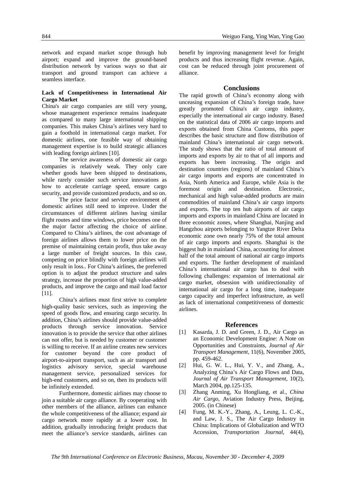network and expand market scope through hub airport; expand and improve the ground-based distribution network by various ways so that air transport and ground transport can achieve a seamless interface.

#### **Lack of Competitiveness in International Air Cargo Market**

China's air cargo companies are still very young, whose management experience remains inadequate as compared to many large international shipping companies. This makes China's airlines very hard to gain a foothold in international cargo market. For domestic airlines, one feasible way of obtaining management expertise is to build strategic alliances with leading foreign airlines [10].

The service awareness of domestic air cargo companies is relatively weak. They only care whether goods have been shipped to destinations, while rarely consider such service innovations as how to accelerate carriage speed, ensure cargo security, and provide customized products, and so on.

The price factor and service environment of domestic airlines still need to improve. Under the circumstances of different airlines having similar flight routes and time windows, price becomes one of the major factor affecting the choice of airline. Compared to China's airlines, the cost advantage of foreign airlines allows them to lower price on the premise of maintaining certain profit, thus take away a large number of freight sources. In this case, competing on price blindly with foreign airlines will only result in loss.. For China's airlines, the preferred option is to adjust the product structure and sales strategy, increase the proportion of high value-added products, and improve the cargo and mail load factor [11].

China's airlines must first strive to complete high-quality basic services, such as improving the speed of goods flow, and ensuring cargo security. In addition, China's airlines should provide value-added products through service innovation. Service innovation is to provide the service that other airlines can not offer, but is needed by customer or customer is willing to receive. If an airline creates new services for customer beyond the core product of airport-to-airport transport, such as air transport and logistics advisory service, special warehouse management service, personalized services for high-end customers, and so on, then its products will be infinitely extended.

Furthermore, domestic airlines may choose to join a suitable air cargo alliance. By cooperating with other members of the alliance, airlines can enhance the whole competitiveness of the alliance; expand air cargo network more rapidly at a lower cost. In addition, gradually introducing freight products that meet the alliance's service standards, airlines can

benefit by improving management level for freight products and thus increasing flight revenue. Again, cost can be reduced through joint procurement of alliance.

#### **Conclusions**

The rapid growth of China's economy along with unceasing expansion of China's foreign trade, have greatly promoted China's air cargo industry, especially the international air cargo industry. Based on the statistical data of 2006 air cargo imports and exports obtained from China Customs, this paper describes the basic structure and flow distribution of mainland China's international air cargo network. The study shows that the ratio of total amount of imports and exports by air to that of all imports and exports has been increasing. The origin and destination countries (regions) of mainland China's air cargo imports and exports are concentrated in Asia, North America and Europe, while Asia is the foremost origin and destination. Electronic, mechanical and high value-added products are main commodities of mainland China's air cargo imports and exports. The top ten hub airports of air cargo imports and exports in mainland China are located in three economic zones, where Shanghai, Nanjing and Hangzhou airports belonging to Yangtze River Delta economic zone own nearly 75% of the total amount of air cargo imports and exports. Shanghai is the biggest hub in mainland China, accounting for almost half of the total amount of national air cargo imports and exports. The further development of mainland China's international air cargo has to deal with following challenges: expansion of international air cargo market, obsession with unidirectionality of international air cargo for a long time, inadequate cargo capacity and imperfect infrastructure, as well as lack of international competitiveness of domestic airlines.

#### **References**

- [1] Kasarda, J. D. and Green, J. D., Air Cargo as an Economic Development Engine: A Note on Opportunities and Constraints, *Journal of Air Transport Management*, 11(6), November 2005, pp. 459-462.
- [2] Hui, G. W. L., Hui, Y. V., and Zhang, A., Analyzing China's Air Cargo Flows and Data, *Journal of Air Transport Management*, 10(2), March 2004, pp.125-135.
- [3] Zhang Anming, Xu Hongliang, et al., *China Air Cargo*, Aviation Industry Press, Beijing, 2005. (in Chinese)
- [4] Fung, M. K.-Y., Zhang, A., Leung, L. C.-K., and Law, J. S., The Air Cargo Industry in China: Implications of Globalization and WTO Accession, *Transportation Journal*, 44(4),